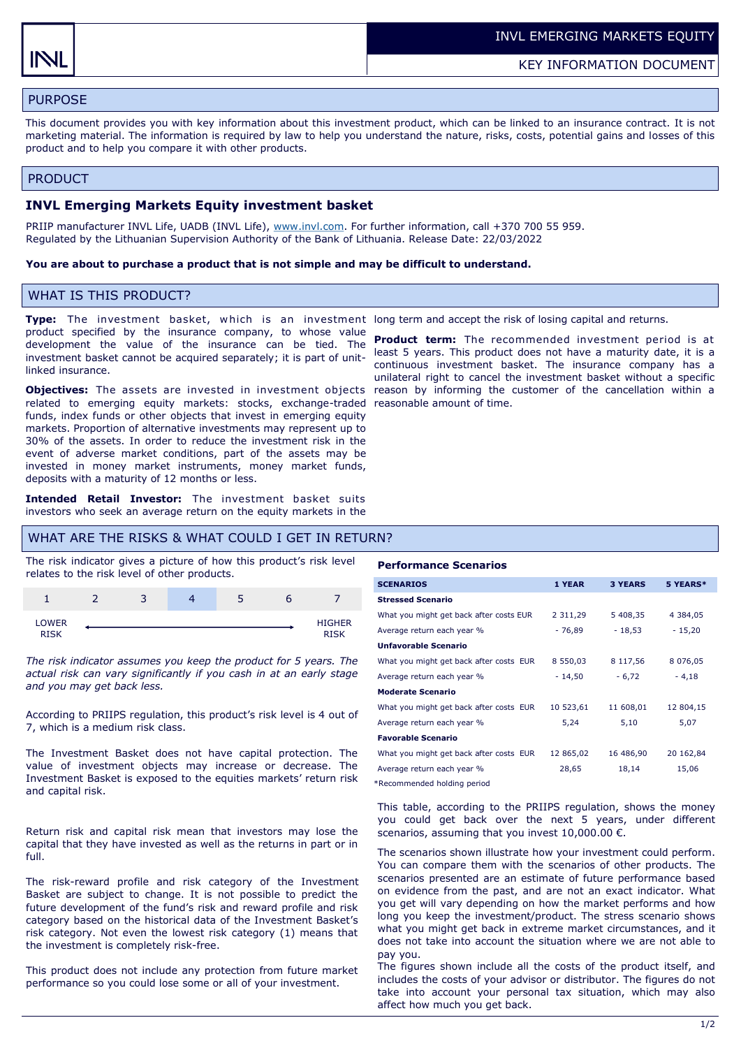# PURPOSE

This document provides you with key information about this investment product, which can be linked to an insurance contract. It is not marketing material. The information is required by law to help you understand the nature, risks, costs, potential gains and losses of this product and to help you compare it with other products.

#### PRODUCT

#### **INVL Emerging Markets Equity investment basket**

PRIIP manufacturer INVL Life, UADB (INVL Life), [www.invl.com.](http://www.invl.com) For further information, call +370 700 55 959. Regulated by the Lithuanian Supervision Authority of the Bank of Lithuania. Release Date: 22/03/2022

#### **You are about to purchase a product that is not simple and may be difficult to understand.**

### WHAT IS THIS PRODUCT?

**Type:** The investment basket, which is an investment long term and accept the risk of losing capital and returns. product specified by the insurance company, to whose value development the value of the insurance can be tied. The investment basket cannot be acquired separately; it is part of unitlinked insurance.

**Objectives:** The assets are invested in investment objects related to emerging equity markets: stocks, exchange-traded reasonable amount of time. funds, index funds or other objects that invest in emerging equity markets. Proportion of alternative investments may represent up to 30% of the assets. In order to reduce the investment risk in the event of adverse market conditions, part of the assets may be invested in money market instruments, money market funds, deposits with a maturity of 12 months or less.

**Intended Retail Investor:** The investment basket suits investors who seek an average return on the equity markets in the

### WHAT ARE THE RISKS & WHAT COULD I GET IN RETURN?

The risk indicator gives a picture of how this product's risk level relates to the risk level of other products.

|                | ∽<br>ت | ٠ |               |
|----------------|--------|---|---------------|
| LOWER<br>DICIA |        |   | <b>HIGHER</b> |

*The risk indicator assumes you keep the product for 5 years. The actual risk can vary significantly if you cash in at an early stage and you may get back less.* 

According to PRIIPS regulation, this product's risk level is 4 out of 7, which is a medium risk class.

The Investment Basket does not have capital protection. The value of investment objects may increase or decrease. The Investment Basket is exposed to the equities markets' return risk and capital risk.

Return risk and capital risk mean that investors may lose the capital that they have invested as well as the returns in part or in full.

The risk-reward profile and risk category of the Investment Basket are subject to change. It is not possible to predict the future development of the fund's risk and reward profile and risk category based on the historical data of the Investment Basket's risk category. Not even the lowest risk category (1) means that the investment is completely risk-free.

This product does not include any protection from future market performance so you could lose some or all of your investment.

**Product term:** The recommended investment period is at least 5 years. This product does not have a maturity date, it is a continuous investment basket. The insurance company has a unilateral right to cancel the investment basket without a specific reason by informing the customer of the cancellation within a

#### **Performance Scenarios**

| 1 YEAR        | <b>3 YEARS</b> | 5 YEARS*      |
|---------------|----------------|---------------|
|               |                |               |
| 2 3 1 1 , 2 9 | 5 408,35       | 4 3 8 4 , 0 5 |
| - 76,89       | $-18,53$       | $-15,20$      |
|               |                |               |
| 8 550,03      | 8 117,56       | 8 0 7 6 , 0 5 |
| $-14,50$      | $-6,72$        | $-4,18$       |
|               |                |               |
| 10 523,61     | 11 608,01      | 12 804,15     |
| 5,24          | 5,10           | 5,07          |
|               |                |               |
| 12 865,02     | 16 486,90      | 20 162,84     |
| 28,65         | 18,14          | 15,06         |
|               |                |               |

\*Recommended holding period

This table, according to the PRIIPS regulation, shows the money you could get back over the next 5 years, under different scenarios, assuming that you invest  $10,000.00 \in$ .

The scenarios shown illustrate how your investment could perform. You can compare them with the scenarios of other products. The scenarios presented are an estimate of future performance based on evidence from the past, and are not an exact indicator. What you get will vary depending on how the market performs and how long you keep the investment/product. The stress scenario shows what you might get back in extreme market circumstances, and it does not take into account the situation where we are not able to pay you.

The figures shown include all the costs of the product itself, and includes the costs of your advisor or distributor. The figures do not take into account your personal tax situation, which may also affect how much you get back.